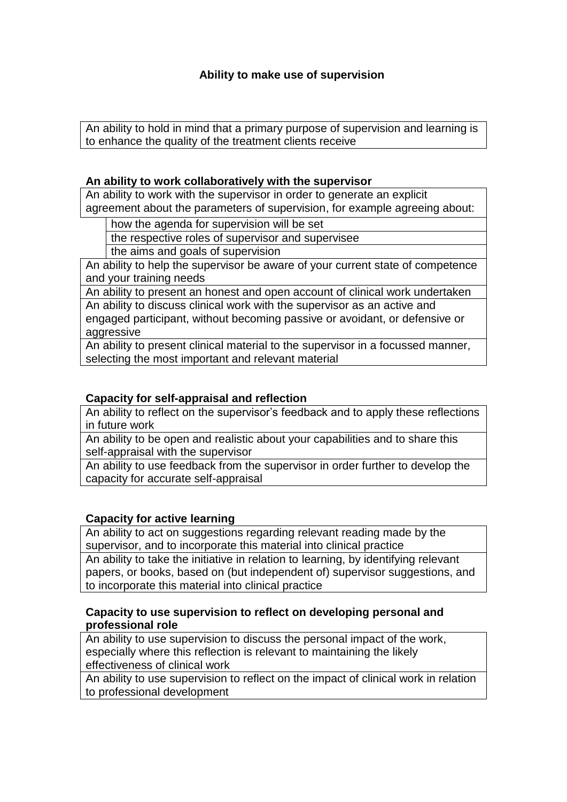# **Ability to make use of supervision**

An ability to hold in mind that a primary purpose of supervision and learning is to enhance the quality of the treatment clients receive

#### **An ability to work collaboratively with the supervisor**

An ability to work with the supervisor in order to generate an explicit agreement about the parameters of supervision, for example agreeing about:

how the agenda for supervision will be set

the respective roles of supervisor and supervisee

the aims and goals of supervision

An ability to help the supervisor be aware of your current state of competence and your training needs

An ability to present an honest and open account of clinical work undertaken An ability to discuss clinical work with the supervisor as an active and engaged participant, without becoming passive or avoidant, or defensive or aggressive

An ability to present clinical material to the supervisor in a focussed manner, selecting the most important and relevant material

## **Capacity for self-appraisal and reflection**

An ability to reflect on the supervisor's feedback and to apply these reflections in future work

An ability to be open and realistic about your capabilities and to share this self-appraisal with the supervisor

An ability to use feedback from the supervisor in order further to develop the capacity for accurate self-appraisal

#### **Capacity for active learning**

An ability to act on suggestions regarding relevant reading made by the supervisor, and to incorporate this material into clinical practice

An ability to take the initiative in relation to learning, by identifying relevant papers, or books, based on (but independent of) supervisor suggestions, and to incorporate this material into clinical practice

## **Capacity to use supervision to reflect on developing personal and professional role**

An ability to use supervision to discuss the personal impact of the work, especially where this reflection is relevant to maintaining the likely effectiveness of clinical work

An ability to use supervision to reflect on the impact of clinical work in relation to professional development